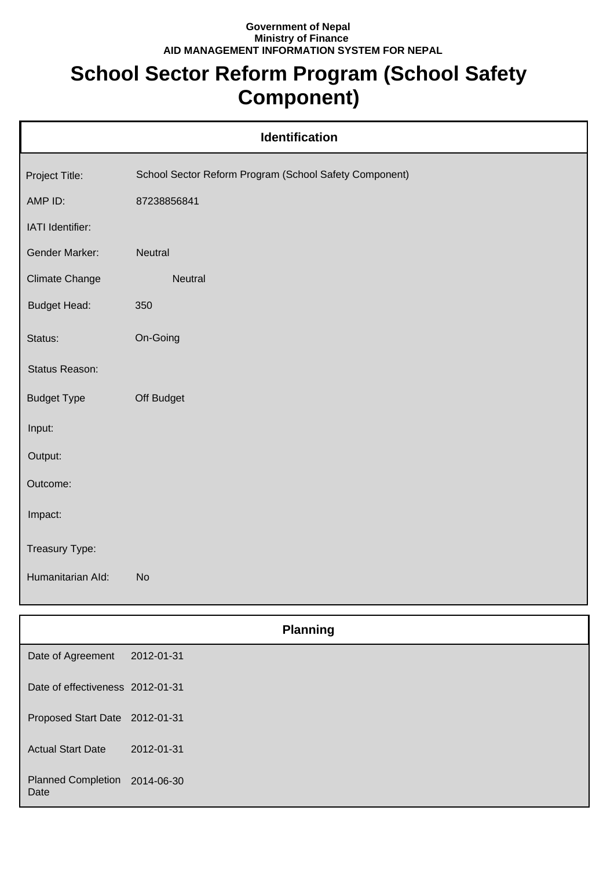## **Government of Nepal Ministry of Finance AID MANAGEMENT INFORMATION SYSTEM FOR NEPAL**

## **School Sector Reform Program (School Safety Component)**

| <b>Identification</b> |                                                        |  |
|-----------------------|--------------------------------------------------------|--|
| Project Title:        | School Sector Reform Program (School Safety Component) |  |
| AMP ID:               | 87238856841                                            |  |
| IATI Identifier:      |                                                        |  |
| Gender Marker:        | Neutral                                                |  |
| <b>Climate Change</b> | Neutral                                                |  |
| <b>Budget Head:</b>   | 350                                                    |  |
| Status:               | On-Going                                               |  |
| Status Reason:        |                                                        |  |
| <b>Budget Type</b>    | Off Budget                                             |  |
| Input:                |                                                        |  |
| Output:               |                                                        |  |
| Outcome:              |                                                        |  |
| Impact:               |                                                        |  |
| Treasury Type:        |                                                        |  |
| Humanitarian Ald:     | <b>No</b>                                              |  |
|                       |                                                        |  |

|                                       | <b>Planning</b> |  |
|---------------------------------------|-----------------|--|
| Date of Agreement                     | 2012-01-31      |  |
| Date of effectiveness 2012-01-31      |                 |  |
| Proposed Start Date 2012-01-31        |                 |  |
| <b>Actual Start Date</b>              | 2012-01-31      |  |
| Planned Completion 2014-06-30<br>Date |                 |  |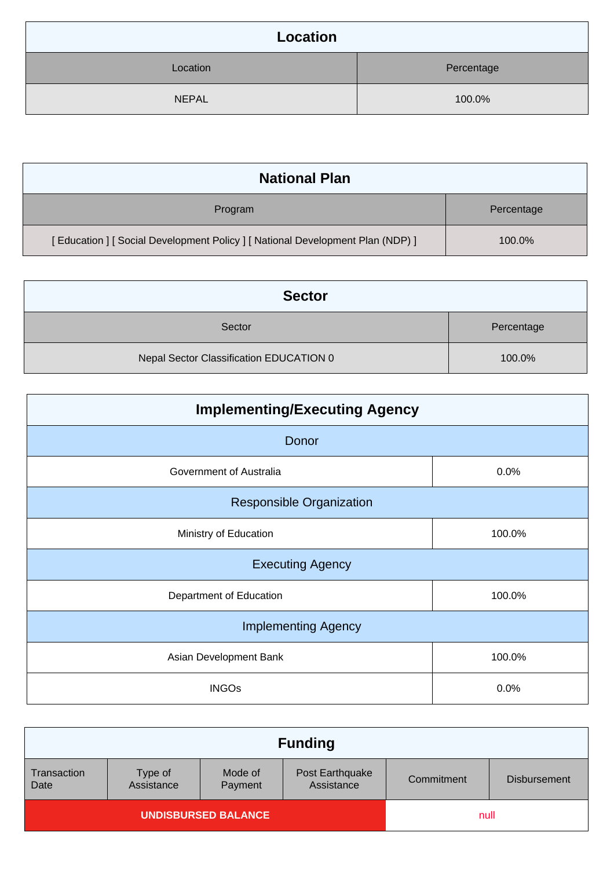| Location     |            |
|--------------|------------|
| Location     | Percentage |
| <b>NEPAL</b> | 100.0%     |

| <b>National Plan</b>                                                            |            |
|---------------------------------------------------------------------------------|------------|
| Program                                                                         | Percentage |
| [ Education ] [ Social Development Policy ] [ National Development Plan (NDP) ] | 100.0%     |

| <b>Sector</b>                           |            |  |
|-----------------------------------------|------------|--|
| Sector                                  | Percentage |  |
| Nepal Sector Classification EDUCATION 0 | 100.0%     |  |

| <b>Implementing/Executing Agency</b> |        |  |  |
|--------------------------------------|--------|--|--|
| Donor                                |        |  |  |
| Government of Australia              | 0.0%   |  |  |
| <b>Responsible Organization</b>      |        |  |  |
| Ministry of Education                | 100.0% |  |  |
| <b>Executing Agency</b>              |        |  |  |
| Department of Education              | 100.0% |  |  |
| <b>Implementing Agency</b>           |        |  |  |
| Asian Development Bank<br>100.0%     |        |  |  |
| <b>INGOs</b>                         | 0.0%   |  |  |

|                            |                       |                    | <b>Funding</b>                |            |                     |
|----------------------------|-----------------------|--------------------|-------------------------------|------------|---------------------|
| Transaction<br>Date        | Type of<br>Assistance | Mode of<br>Payment | Post Earthquake<br>Assistance | Commitment | <b>Disbursement</b> |
| <b>UNDISBURSED BALANCE</b> |                       |                    | null                          |            |                     |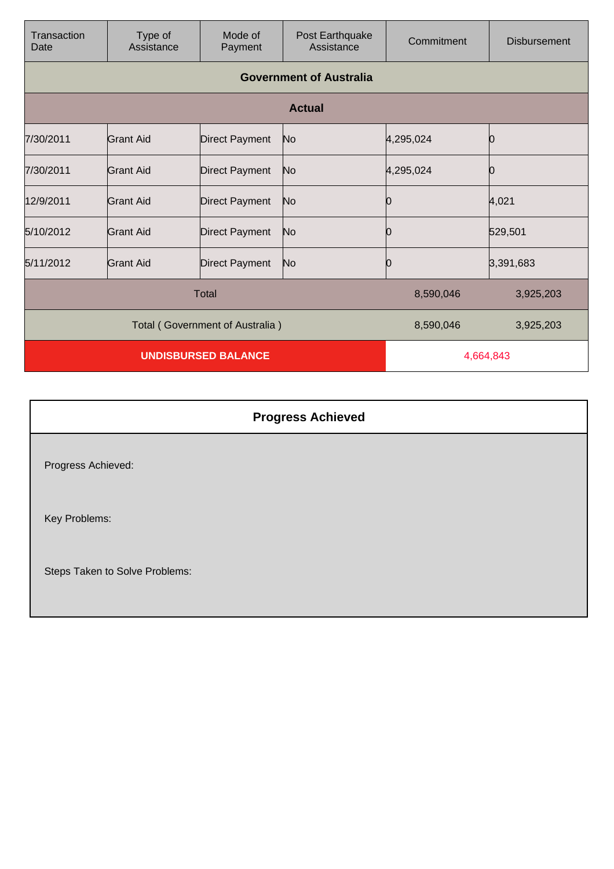| Transaction<br>Date             | Type of<br>Assistance | Mode of<br>Payment    | Post Earthquake<br>Assistance  | Commitment | <b>Disbursement</b> |
|---------------------------------|-----------------------|-----------------------|--------------------------------|------------|---------------------|
|                                 |                       |                       | <b>Government of Australia</b> |            |                     |
|                                 |                       |                       | <b>Actual</b>                  |            |                     |
| 7/30/2011                       | <b>Grant Aid</b>      | <b>Direct Payment</b> | No                             | 4,295,024  |                     |
| 7/30/2011                       | Grant Aid             | <b>Direct Payment</b> | No                             | 4,295,024  |                     |
| 12/9/2011                       | Grant Aid             | <b>Direct Payment</b> | N <sub>o</sub>                 | Ю          | 4,021               |
| 5/10/2012                       | Grant Aid             | <b>Direct Payment</b> | No.                            | Ю          | 529,501             |
| 5/11/2012                       | Grant Aid             | <b>Direct Payment</b> | No                             | 10         | 3,391,683           |
|                                 |                       | <b>Total</b>          |                                | 8,590,046  | 3,925,203           |
| Total (Government of Australia) |                       |                       | 8,590,046                      | 3,925,203  |                     |
| <b>UNDISBURSED BALANCE</b>      |                       |                       | 4,664,843                      |            |                     |

| <b>Progress Achieved</b>       |  |
|--------------------------------|--|
| Progress Achieved:             |  |
| Key Problems:                  |  |
| Steps Taken to Solve Problems: |  |